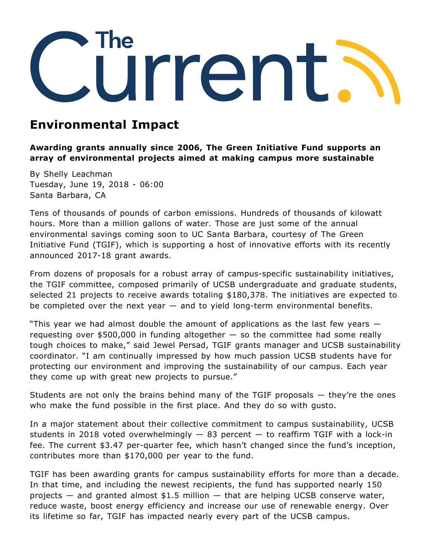

## **Environmental Impact**

**Awarding grants annually since 2006, The Green Initiative Fund supports an array of environmental projects aimed at making campus more sustainable**

By Shelly Leachman Tuesday, June 19, 2018 - 06:00 Santa Barbara, CA

Tens of thousands of pounds of carbon emissions. Hundreds of thousands of kilowatt hours. More than a million gallons of water. Those are just some of the annual environmental savings coming soon to UC Santa Barbara, courtesy of The Green Initiative Fund (TGIF), which is supporting a host of innovative efforts with its recently announced 2017-18 grant awards.

From dozens of proposals for a robust array of campus-specific sustainability initiatives, the TGIF committee, composed primarily of UCSB undergraduate and graduate students, selected 21 projects to receive awards totaling \$180,378. The initiatives are expected to be completed over the next year — and to yield long-term environmental benefits.

"This year we had almost double the amount of applications as the last few years requesting over  $$500,000$  in funding altogether  $-$  so the committee had some really tough choices to make," said Jewel Persad, TGIF grants manager and UCSB sustainability coordinator. "I am continually impressed by how much passion UCSB students have for protecting our environment and improving the sustainability of our campus. Each year they come up with great new projects to pursue."

Students are not only the brains behind many of the TGIF proposals  $-$  they're the ones who make the fund possible in the first place. And they do so with gusto.

In a major statement about their collective commitment to campus sustainability, UCSB students in 2018 voted overwhelmingly  $-$  83 percent  $-$  to reaffirm TGIF with a lock-in fee. The current \$3.47 per-quarter fee, which hasn't changed since the fund's inception, contributes more than \$170,000 per year to the fund.

TGIF has been awarding grants for campus sustainability efforts for more than a decade. In that time, and including the newest recipients, the fund has supported nearly 150 projects  $-$  and granted almost \$1.5 million  $-$  that are helping UCSB conserve water, reduce waste, boost energy efficiency and increase our use of renewable energy. Over its lifetime so far, TGIF has impacted nearly every part of the UCSB campus.